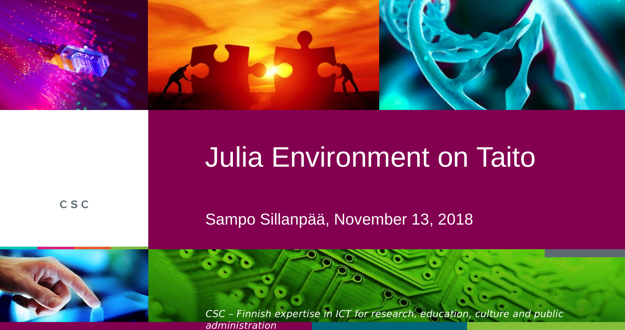

# Julia Environment on Taito

CSC

Sampo Sillanpää, November 13, 2018

CSC – Finnish expertise in ICT for research, education, culture and public administration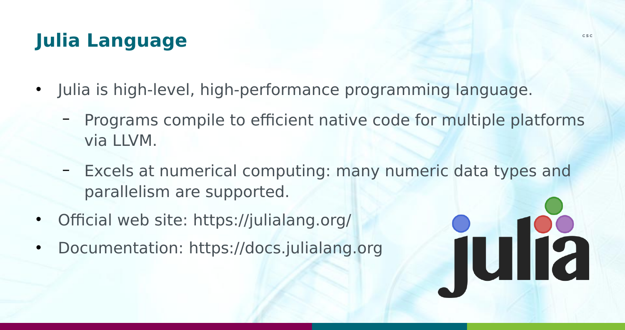# **Julia Language**

- Julia is high-level, high-performance programming language.
	- Programs compile to efficient native code for multiple platforms via LLVM.
	- Excels at numerical computing: many numeric data types and parallelism are supported.
- Official web site: <https://julialang.org/>
- Documentation: [https://docs.julialang.org](https://docs.julialang.org/)

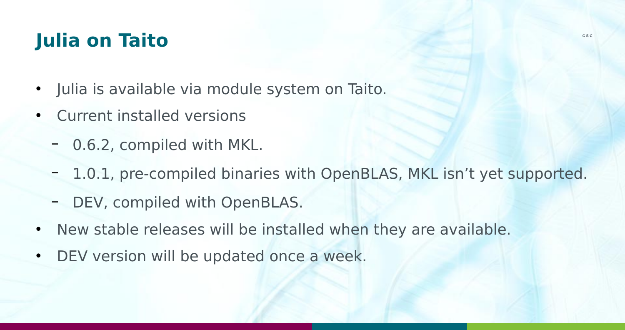## **Julia on Taito**

- Julia is available via module system on Taito.
- Current installed versions
	- 0.6.2, compiled with MKL.
	- 1.0.1, pre-compiled binaries with OpenBLAS, MKL isn't yet supported.
	- DEV, compiled with OpenBLAS.
- New stable releases will be installed when they are available.
- DEV version will be updated once a week.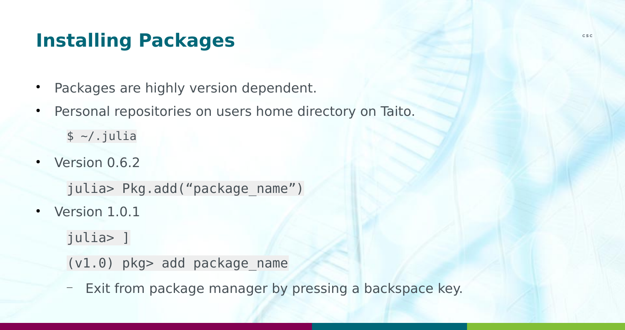## **Installing Packages**

- Packages are highly version dependent.
- Personal repositories on users home directory on Taito.

 $$ \sim/ .$ julia

 $\cdot$  Version 0.6.2

julia> Pkg.add("package\_name")

• Version 1.0.1

julia> ]

(v1.0) pkg> add package\_name

— Exit from package manager by pressing a backspace key.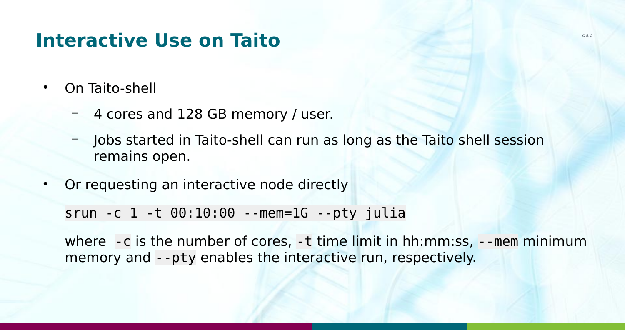#### **Interactive Use on Taito**

- On Taito-shell
	- 4 cores and 128 GB memory / user.
	- Jobs started in Taito-shell can run as long as the Taito shell session remains open.
- Or requesting an interactive node directly

srun -c 1 -t 00:10:00 --mem=1G --pty julia

where -c is the number of cores, -t time limit in hh:mm:ss, --mem minimum memory and --pty enables the interactive run, respectively.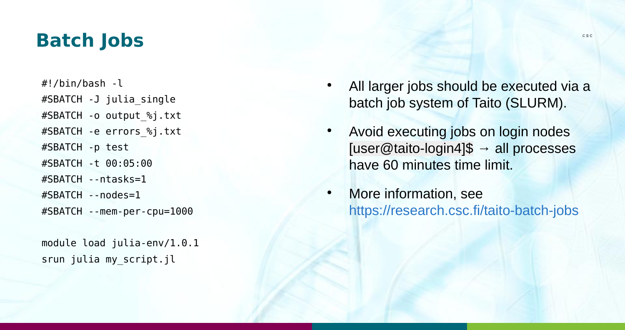#### **Batch Jobs**

#!/bin/bash -l #SBATCH -J julia\_single #SBATCH -o output\_%j.txt #SBATCH -e errors\_%j.txt #SBATCH -p test #SBATCH -t 00:05:00 #SBATCH --ntasks=1 #SBATCH --nodes=1 #SBATCH --mem-per-cpu=1000

module load julia-env/1.0.1 srun julia my\_script.jl

- All larger jobs should be executed via a batch job system of Taito (SLURM).
- Avoid executing jobs on login nodes [user@taito-login4]\$  $\rightarrow$  all processes have 60 minutes time limit.
- More information, see <https://research.csc.fi/taito-batch-jobs>